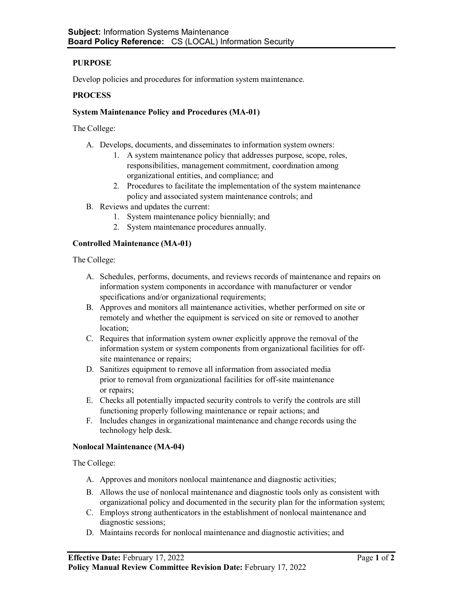# **PURPOSE**

Develop policies and procedures for information system maintenance.

## **PROCESS**

### **System Maintenance Policy and Procedures (MA-01)**

The College:

- A. Develops, documents, and disseminates to information system owners:
	- 1. A system maintenance policy that addresses purpose, scope, roles, responsibilities, management commitment, coordination among organizational entities, and compliance; and
	- 2. Procedures to facilitate the implementation of the system maintenance policy and associated system maintenance controls; and
- B. Reviews and updates the current:
	- 1. System maintenance policy biennially; and
	- 2. System maintenance procedures annually.

### **Controlled Maintenance (MA-01)**

The College:

- A. Schedules, performs, documents, and reviews records of maintenance and repairs on information system components in accordance with manufacturer or vendor specifications and/or organizational requirements;
- B. Approves and monitors all maintenance activities, whether performed on site or remotely and whether the equipment is serviced on site or removed to another location;
- C. Requires that information system owner explicitly approve the removal of the information system or system components from organizational facilities for offsite maintenance or repairs;
- D. Sanitizes equipment to remove all information from associated media prior to removal from organizational facilities for off-site maintenance or repairs;
- E. Checks all potentially impacted security controls to verify the controls are still functioning properly following maintenance or repair actions; and
- F. Includes changes in organizational maintenance and change records using the technology help desk.

#### **Nonlocal Maintenance (MA-04)**

The College:

- A. Approves and monitors nonlocal maintenance and diagnostic activities;
- B. Allows the use of nonlocal maintenance and diagnostic tools only as consistent with organizational policy and documented in the security plan for the information system;
- C. Employs strong authenticators in the establishment of nonlocal maintenance and diagnostic sessions;
- D. Maintains records for nonlocal maintenance and diagnostic activities; and